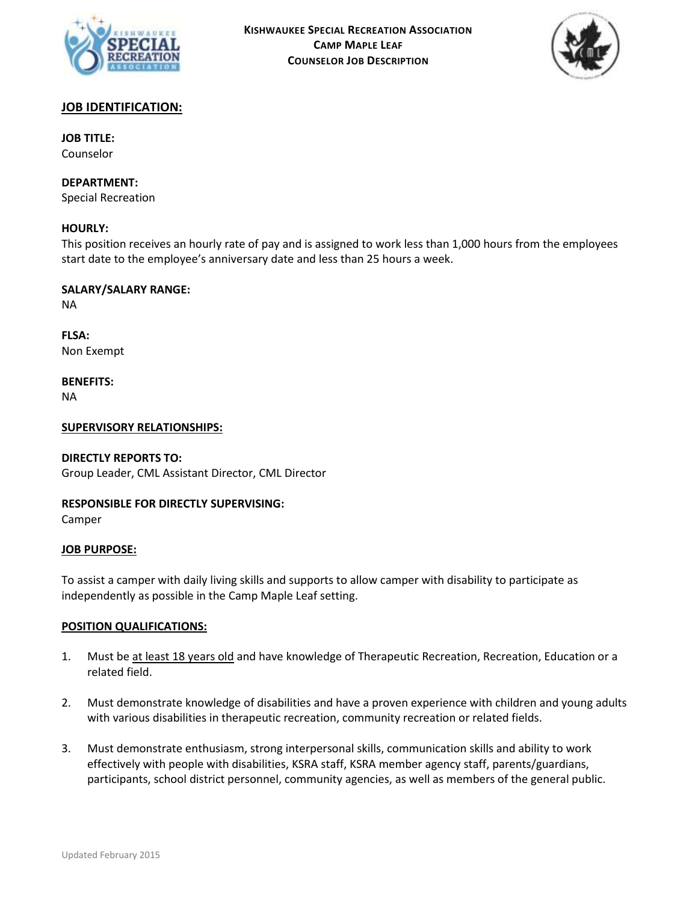



# **JOB IDENTIFICATION:**

**JOB TITLE:** Counselor

**DEPARTMENT:** Special Recreation

## **HOURLY:**

This position receives an hourly rate of pay and is assigned to work less than 1,000 hours from the employees start date to the employee's anniversary date and less than 25 hours a week.

**SALARY/SALARY RANGE:** NA

**FLSA:** Non Exempt

**BENEFITS:**

NA

## **SUPERVISORY RELATIONSHIPS:**

### **DIRECTLY REPORTS TO:**

Group Leader, CML Assistant Director, CML Director

## **RESPONSIBLE FOR DIRECTLY SUPERVISING:**

Camper

### **JOB PURPOSE:**

To assist a camper with daily living skills and supports to allow camper with disability to participate as independently as possible in the Camp Maple Leaf setting.

### **POSITION QUALIFICATIONS:**

- 1. Must be at least 18 years old and have knowledge of Therapeutic Recreation, Recreation, Education or a related field.
- 2. Must demonstrate knowledge of disabilities and have a proven experience with children and young adults with various disabilities in therapeutic recreation, community recreation or related fields.
- 3. Must demonstrate enthusiasm, strong interpersonal skills, communication skills and ability to work effectively with people with disabilities, KSRA staff, KSRA member agency staff, parents/guardians, participants, school district personnel, community agencies, as well as members of the general public.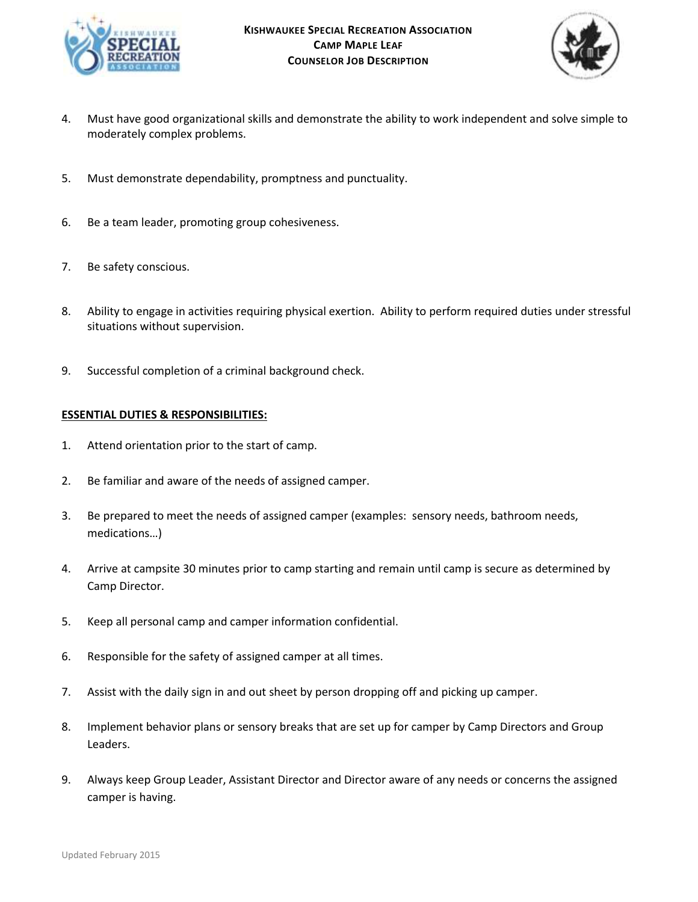



- 4. Must have good organizational skills and demonstrate the ability to work independent and solve simple to moderately complex problems.
- 5. Must demonstrate dependability, promptness and punctuality.
- 6. Be a team leader, promoting group cohesiveness.
- 7. Be safety conscious.
- 8. Ability to engage in activities requiring physical exertion. Ability to perform required duties under stressful situations without supervision.
- 9. Successful completion of a criminal background check.

## **ESSENTIAL DUTIES & RESPONSIBILITIES:**

- 1. Attend orientation prior to the start of camp.
- 2. Be familiar and aware of the needs of assigned camper.
- 3. Be prepared to meet the needs of assigned camper (examples: sensory needs, bathroom needs, medications…)
- 4. Arrive at campsite 30 minutes prior to camp starting and remain until camp is secure as determined by Camp Director.
- 5. Keep all personal camp and camper information confidential.
- 6. Responsible for the safety of assigned camper at all times.
- 7. Assist with the daily sign in and out sheet by person dropping off and picking up camper.
- 8. Implement behavior plans or sensory breaks that are set up for camper by Camp Directors and Group Leaders.
- 9. Always keep Group Leader, Assistant Director and Director aware of any needs or concerns the assigned camper is having.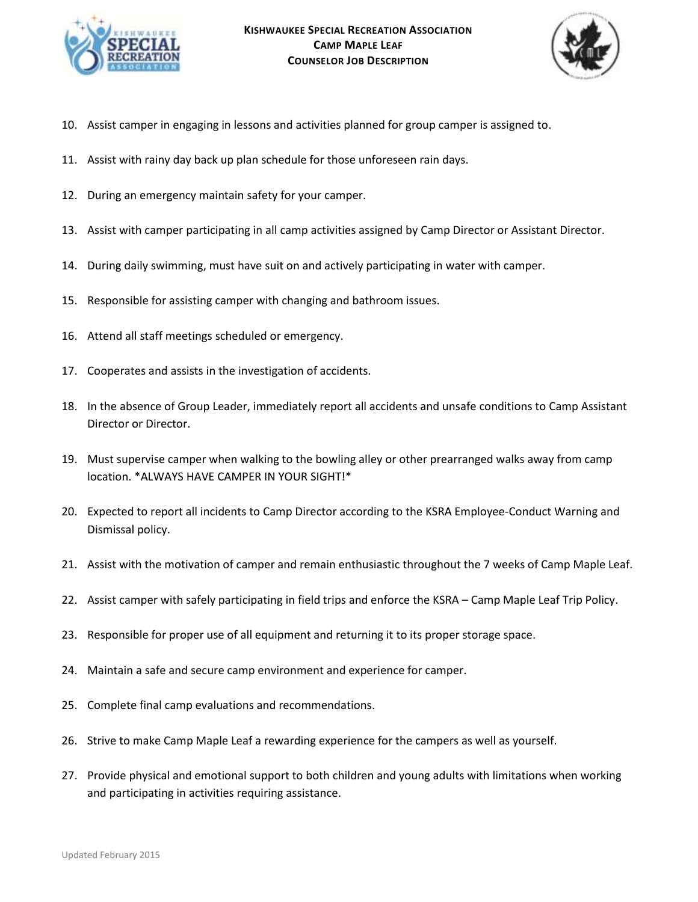



- 10. Assist camper in engaging in lessons and activities planned for group camper is assigned to.
- 11. Assist with rainy day back up plan schedule for those unforeseen rain days.
- 12. During an emergency maintain safety for your camper.
- 13. Assist with camper participating in all camp activities assigned by Camp Director or Assistant Director.
- 14. During daily swimming, must have suit on and actively participating in water with camper.
- 15. Responsible for assisting camper with changing and bathroom issues.
- 16. Attend all staff meetings scheduled or emergency.
- 17. Cooperates and assists in the investigation of accidents.
- 18. In the absence of Group Leader, immediately report all accidents and unsafe conditions to Camp Assistant Director or Director.
- 19. Must supervise camper when walking to the bowling alley or other prearranged walks away from camp location. \*ALWAYS HAVE CAMPER IN YOUR SIGHT!\*
- 20. Expected to report all incidents to Camp Director according to the KSRA Employee-Conduct Warning and Dismissal policy.
- 21. Assist with the motivation of camper and remain enthusiastic throughout the 7 weeks of Camp Maple Leaf.
- 22. Assist camper with safely participating in field trips and enforce the KSRA Camp Maple Leaf Trip Policy.
- 23. Responsible for proper use of all equipment and returning it to its proper storage space.
- 24. Maintain a safe and secure camp environment and experience for camper.
- 25. Complete final camp evaluations and recommendations.
- 26. Strive to make Camp Maple Leaf a rewarding experience for the campers as well as yourself.
- 27. Provide physical and emotional support to both children and young adults with limitations when working and participating in activities requiring assistance.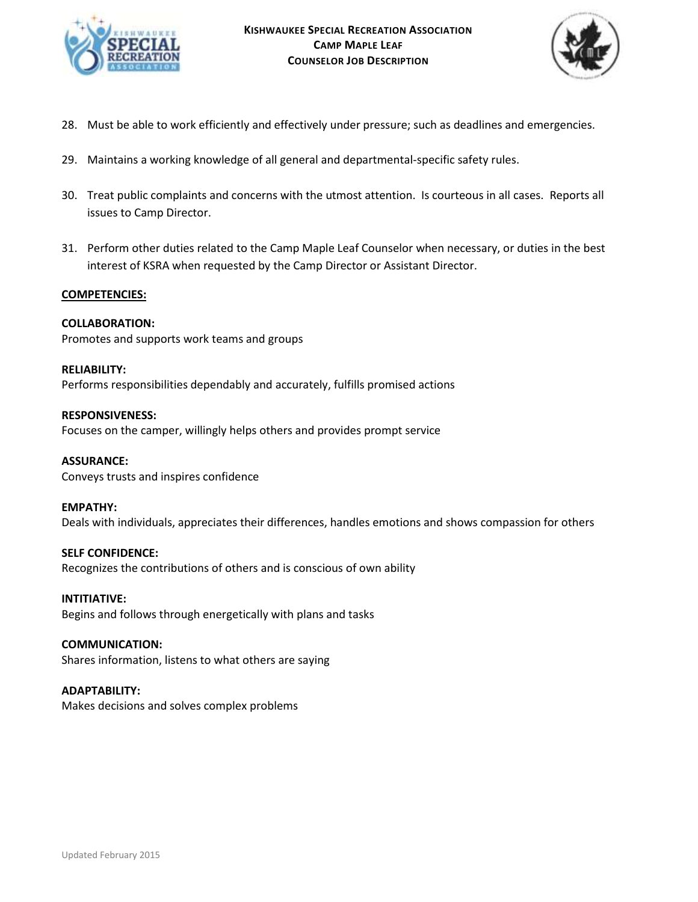



- 28. Must be able to work efficiently and effectively under pressure; such as deadlines and emergencies.
- 29. Maintains a working knowledge of all general and departmental-specific safety rules.
- 30. Treat public complaints and concerns with the utmost attention. Is courteous in all cases. Reports all issues to Camp Director.
- 31. Perform other duties related to the Camp Maple Leaf Counselor when necessary, or duties in the best interest of KSRA when requested by the Camp Director or Assistant Director.

## **COMPETENCIES:**

## **COLLABORATION:**

Promotes and supports work teams and groups

## **RELIABILITY:**

Performs responsibilities dependably and accurately, fulfills promised actions

### **RESPONSIVENESS:**

Focuses on the camper, willingly helps others and provides prompt service

### **ASSURANCE:**

Conveys trusts and inspires confidence

### **EMPATHY:**

Deals with individuals, appreciates their differences, handles emotions and shows compassion for others

## **SELF CONFIDENCE:** Recognizes the contributions of others and is conscious of own ability

**INTITIATIVE:** Begins and follows through energetically with plans and tasks

## **COMMUNICATION:**

Shares information, listens to what others are saying

### **ADAPTABILITY:**

Makes decisions and solves complex problems